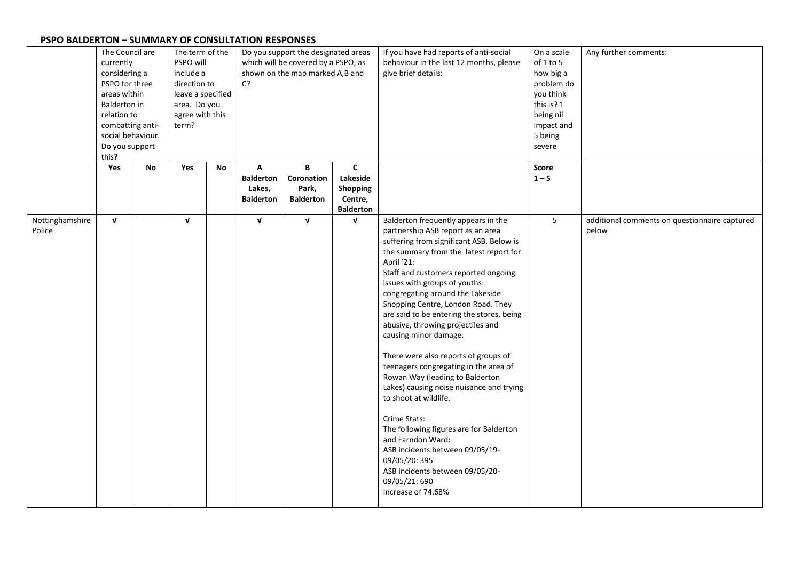|                           | The Council are<br>currently<br>considering a<br>PSPO for three<br>areas within<br><b>Balderton</b> in<br>relation to<br>combatting anti-<br>social behaviour.<br>Do you support<br>this? |           | The term of the<br>PSPO will<br>include a<br>direction to<br>leave a specified<br>area. Do you<br>agree with this<br>term? |    | Do you support the designated areas<br>which will be covered by a PSPO, as<br>shown on the map marked A,B and<br>C? |                                              |                                                                            | If you have had reports of anti-social<br>behaviour in the last 12 months, please<br>give brief details:                                                                                                                                                                                                                                                                                                                                                                                                                                                                                                                                                                                                                                                                                                                                        | On a scale<br>of 1 to 5<br>how big a<br>problem do<br>you think<br>this is? 1<br>being nil<br>impact and<br>5 being<br>severe | Any further comments:                                  |
|---------------------------|-------------------------------------------------------------------------------------------------------------------------------------------------------------------------------------------|-----------|----------------------------------------------------------------------------------------------------------------------------|----|---------------------------------------------------------------------------------------------------------------------|----------------------------------------------|----------------------------------------------------------------------------|-------------------------------------------------------------------------------------------------------------------------------------------------------------------------------------------------------------------------------------------------------------------------------------------------------------------------------------------------------------------------------------------------------------------------------------------------------------------------------------------------------------------------------------------------------------------------------------------------------------------------------------------------------------------------------------------------------------------------------------------------------------------------------------------------------------------------------------------------|-------------------------------------------------------------------------------------------------------------------------------|--------------------------------------------------------|
|                           | Yes                                                                                                                                                                                       | <b>No</b> | Yes                                                                                                                        | No | A<br><b>Balderton</b><br>Lakes,<br><b>Balderton</b>                                                                 | B<br>Coronation<br>Park,<br><b>Balderton</b> | $\mathsf{C}$<br>Lakeside<br><b>Shopping</b><br>Centre,<br><b>Balderton</b> |                                                                                                                                                                                                                                                                                                                                                                                                                                                                                                                                                                                                                                                                                                                                                                                                                                                 | Score<br>$1 - 5$                                                                                                              |                                                        |
| Nottinghamshire<br>Police | $\mathbf{v}$                                                                                                                                                                              |           | $\mathbf v$                                                                                                                |    | $\mathbf v$                                                                                                         | $\mathbf{v}$                                 | $\mathbf v$                                                                | Balderton frequently appears in the<br>partnership ASB report as an area<br>suffering from significant ASB. Below is<br>the summary from the latest report for<br>April '21:<br>Staff and customers reported ongoing<br>issues with groups of youths<br>congregating around the Lakeside<br>Shopping Centre, London Road. They<br>are said to be entering the stores, being<br>abusive, throwing projectiles and<br>causing minor damage.<br>There were also reports of groups of<br>teenagers congregating in the area of<br>Rowan Way (leading to Balderton<br>Lakes) causing noise nuisance and trying<br>to shoot at wildlife.<br>Crime Stats:<br>The following figures are for Balderton<br>and Farndon Ward:<br>ASB incidents between 09/05/19-<br>09/05/20: 395<br>ASB incidents between 09/05/20-<br>09/05/21:690<br>Increase of 74.68% | 5                                                                                                                             | additional comments on questionnaire captured<br>below |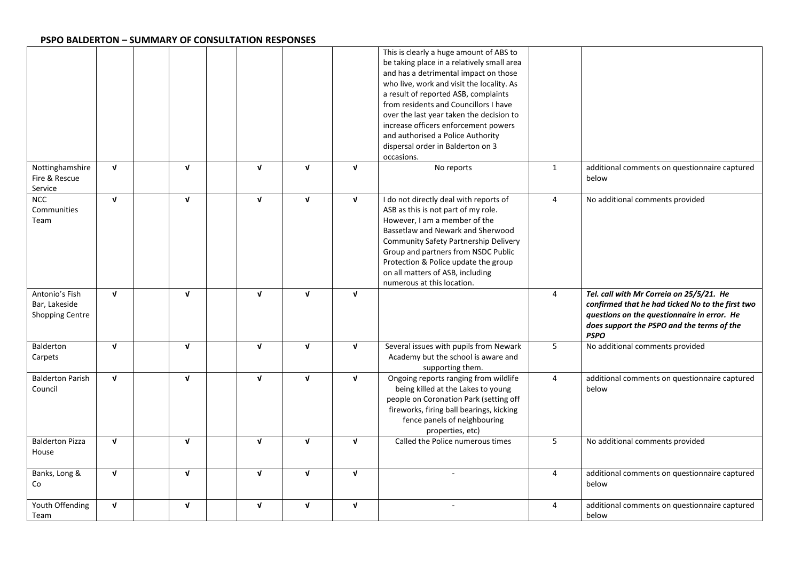| Nottinghamshire<br>Fire & Rescue                          | $\mathbf{v}$ | $\mathbf{v}$ | $\mathbf{v}$ | $\mathbf{v}$ | $\mathbf{v}$ | This is clearly a huge amount of ABS to<br>be taking place in a relatively small area<br>and has a detrimental impact on those<br>who live, work and visit the locality. As<br>a result of reported ASB, complaints<br>from residents and Councillors I have<br>over the last year taken the decision to<br>increase officers enforcement powers<br>and authorised a Police Authority<br>dispersal order in Balderton on 3<br>occasions.<br>No reports | $\mathbf{1}$ | additional comments on questionnaire captured<br>below                                                                                                                                                   |
|-----------------------------------------------------------|--------------|--------------|--------------|--------------|--------------|--------------------------------------------------------------------------------------------------------------------------------------------------------------------------------------------------------------------------------------------------------------------------------------------------------------------------------------------------------------------------------------------------------------------------------------------------------|--------------|----------------------------------------------------------------------------------------------------------------------------------------------------------------------------------------------------------|
| Service<br>NCC<br>Communities<br>Team                     | $\mathbf{v}$ | $\mathbf{v}$ | $\mathbf{v}$ | $\mathbf{v}$ | $\mathbf{v}$ | I do not directly deal with reports of<br>ASB as this is not part of my role.<br>However, I am a member of the<br>Bassetlaw and Newark and Sherwood<br>Community Safety Partnership Delivery<br>Group and partners from NSDC Public<br>Protection & Police update the group<br>on all matters of ASB, including<br>numerous at this location.                                                                                                          | 4            | No additional comments provided                                                                                                                                                                          |
| Antonio's Fish<br>Bar, Lakeside<br><b>Shopping Centre</b> | $\mathbf{v}$ | $\mathbf{v}$ | $\mathbf v$  | $\mathbf{v}$ | $\mathbf{v}$ |                                                                                                                                                                                                                                                                                                                                                                                                                                                        | 4            | Tel. call with Mr Correia on 25/5/21. He<br>confirmed that he had ticked No to the first two<br>questions on the questionnaire in error. He<br>does support the PSPO and the terms of the<br><b>PSPO</b> |
| Balderton<br>Carpets                                      | $\mathbf{v}$ | $\mathbf{v}$ | $\mathbf{v}$ | $\mathbf{v}$ | $\mathbf{v}$ | Several issues with pupils from Newark<br>Academy but the school is aware and<br>supporting them.                                                                                                                                                                                                                                                                                                                                                      | 5            | No additional comments provided                                                                                                                                                                          |
| <b>Balderton Parish</b><br>Council                        | $\mathbf{v}$ | $\mathbf v$  | $\mathbf{v}$ | $\sqrt{ }$   | $\mathbf{v}$ | Ongoing reports ranging from wildlife<br>being killed at the Lakes to young<br>people on Coronation Park (setting off<br>fireworks, firing ball bearings, kicking<br>fence panels of neighbouring<br>properties, etc)                                                                                                                                                                                                                                  | 4            | additional comments on questionnaire captured<br>below                                                                                                                                                   |
| <b>Balderton Pizza</b><br>House                           | $\mathbf{v}$ | $\mathbf v$  | $\mathbf{v}$ | $\mathbf{v}$ | $\mathbf v$  | Called the Police numerous times                                                                                                                                                                                                                                                                                                                                                                                                                       | 5            | No additional comments provided                                                                                                                                                                          |
| Banks, Long &<br>Co                                       | $\mathbf{v}$ | $\mathbf{v}$ | $\mathbf{v}$ | $\mathbf{v}$ | $\mathbf{v}$ | $\sim$                                                                                                                                                                                                                                                                                                                                                                                                                                                 | 4            | additional comments on questionnaire captured<br>below                                                                                                                                                   |
| Youth Offending<br>Team                                   | $\mathbf{v}$ | V            | $\mathbf v$  | $\mathbf{v}$ | V            | $\sim$                                                                                                                                                                                                                                                                                                                                                                                                                                                 | 4            | additional comments on questionnaire captured<br>below                                                                                                                                                   |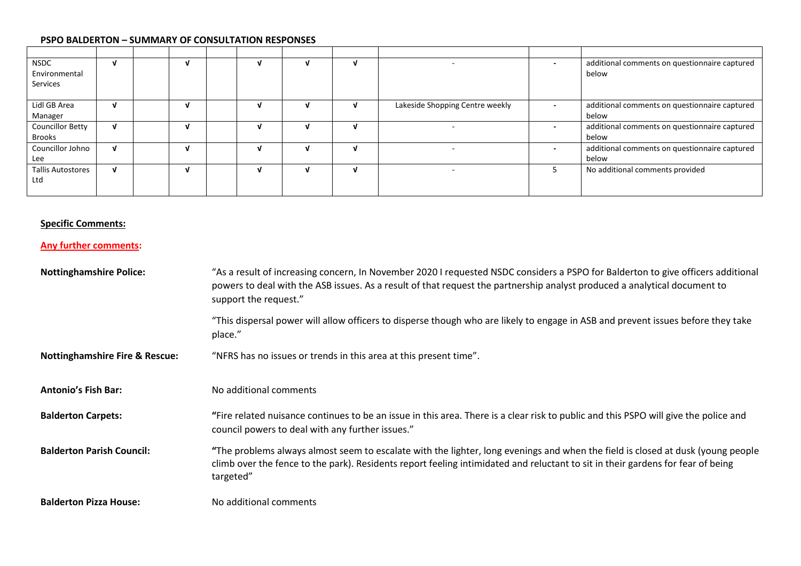| <b>NSDC</b><br>Environmental<br>Services |          |   |  |  |                                 |                          | additional comments on questionnaire captured<br>below |
|------------------------------------------|----------|---|--|--|---------------------------------|--------------------------|--------------------------------------------------------|
| Lidl GB Area<br>Manager                  | N        | N |  |  | Lakeside Shopping Centre weekly | $\overline{\phantom{a}}$ | additional comments on questionnaire captured<br>below |
| <b>Councillor Betty</b><br>Brooks        | <b>V</b> |   |  |  |                                 |                          | additional comments on questionnaire captured<br>below |
| Councillor Johno<br>Lee                  |          |   |  |  |                                 |                          | additional comments on questionnaire captured<br>below |
| <b>Tallis Autostores</b><br>Ltd          |          |   |  |  |                                 |                          | No additional comments provided                        |

# **Specific Comments:**

### **Any further comments:**

| <b>Nottinghamshire Police:</b>            | "As a result of increasing concern, In November 2020 I requested NSDC considers a PSPO for Balderton to give officers additional<br>powers to deal with the ASB issues. As a result of that request the partnership analyst produced a analytical document to<br>support the request." |  |  |  |  |  |  |
|-------------------------------------------|----------------------------------------------------------------------------------------------------------------------------------------------------------------------------------------------------------------------------------------------------------------------------------------|--|--|--|--|--|--|
|                                           | "This dispersal power will allow officers to disperse though who are likely to engage in ASB and prevent issues before they take<br>place."                                                                                                                                            |  |  |  |  |  |  |
| <b>Nottinghamshire Fire &amp; Rescue:</b> | "NFRS has no issues or trends in this area at this present time".                                                                                                                                                                                                                      |  |  |  |  |  |  |
| <b>Antonio's Fish Bar:</b>                | No additional comments                                                                                                                                                                                                                                                                 |  |  |  |  |  |  |
| <b>Balderton Carpets:</b>                 | "Fire related nuisance continues to be an issue in this area. There is a clear risk to public and this PSPO will give the police and<br>council powers to deal with any further issues."                                                                                               |  |  |  |  |  |  |
| <b>Balderton Parish Council:</b>          | "The problems always almost seem to escalate with the lighter, long evenings and when the field is closed at dusk (young people<br>climb over the fence to the park). Residents report feeling intimidated and reluctant to sit in their gardens for fear of being<br>targeted"        |  |  |  |  |  |  |
| <b>Balderton Pizza House:</b>             | No additional comments                                                                                                                                                                                                                                                                 |  |  |  |  |  |  |